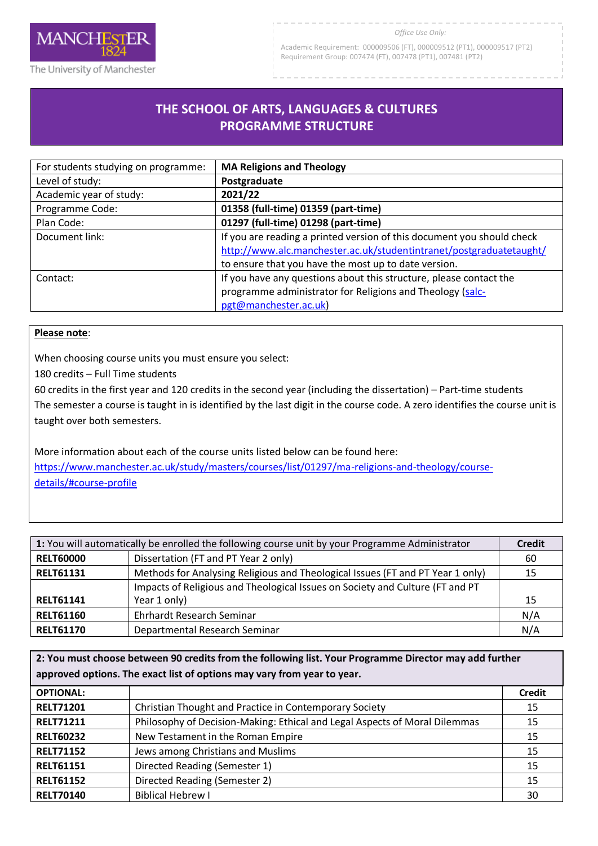

Academic Requirement: 000009506 (FT), 000009512 (PT1), 000009517 (PT2) Requirement Group: 007474 (FT), 007478 (PT1), 007481 (PT2)

## **THE SCHOOL OF ARTS, LANGUAGES & CULTURES PROGRAMME STRUCTURE**

R

| For students studying on programme: | <b>MA Religions and Theology</b>                                                                                                              |
|-------------------------------------|-----------------------------------------------------------------------------------------------------------------------------------------------|
| Level of study:                     | Postgraduate                                                                                                                                  |
| Academic year of study:             | 2021/22                                                                                                                                       |
| Programme Code:                     | 01358 (full-time) 01359 (part-time)                                                                                                           |
| Plan Code:                          | 01297 (full-time) 01298 (part-time)                                                                                                           |
| Document link:                      | If you are reading a printed version of this document you should check<br>http://www.alc.manchester.ac.uk/studentintranet/postgraduatetaught/ |
|                                     | to ensure that you have the most up to date version.                                                                                          |
| Contact:                            | If you have any questions about this structure, please contact the                                                                            |
|                                     | programme administrator for Religions and Theology (salc-                                                                                     |
|                                     | pgt@manchester.ac.uk)                                                                                                                         |

## **Please note**:

When choosing course units you must ensure you select:

180 credits – Full Time students

60 credits in the first year and 120 credits in the second year (including the dissertation) – Part-time students The semester a course is taught in is identified by the last digit in the course code. A zero identifies the course unit is taught over both semesters.

More information about each of the course units listed below can be found here: [https://www.manchester.ac.uk/study/masters/courses/list/01297/ma-religions-and-theology/course](https://www.manchester.ac.uk/study/masters/courses/list/01297/ma-religions-and-theology/course-details/#course-profile)[details/#course-profile](https://www.manchester.ac.uk/study/masters/courses/list/01297/ma-religions-and-theology/course-details/#course-profile)

| 1: You will automatically be enrolled the following course unit by your Programme Administrator |                                                                                | <b>Credit</b> |
|-------------------------------------------------------------------------------------------------|--------------------------------------------------------------------------------|---------------|
| <b>RELT60000</b>                                                                                | Dissertation (FT and PT Year 2 only)                                           | 60            |
| <b>RELT61131</b>                                                                                | Methods for Analysing Religious and Theological Issues (FT and PT Year 1 only) | 15            |
|                                                                                                 | Impacts of Religious and Theological Issues on Society and Culture (FT and PT  |               |
| <b>RELT61141</b>                                                                                | Year 1 only)                                                                   | 15            |
| <b>RELT61160</b>                                                                                | Ehrhardt Research Seminar                                                      | N/A           |
| <b>RELT61170</b>                                                                                | Departmental Research Seminar                                                  | N/A           |

**2: You must choose between 90 credits from the following list. Your Programme Director may add further approved options. The exact list of options may vary from year to year.**

| <b>OPTIONAL:</b> |                                                                            | <b>Credit</b> |
|------------------|----------------------------------------------------------------------------|---------------|
| <b>RELT71201</b> | Christian Thought and Practice in Contemporary Society                     | 15            |
| <b>RELT71211</b> | Philosophy of Decision-Making: Ethical and Legal Aspects of Moral Dilemmas | 15            |
| <b>RELT60232</b> | New Testament in the Roman Empire                                          | 15            |
| <b>RELT71152</b> | Jews among Christians and Muslims                                          | 15            |
| <b>RELT61151</b> | Directed Reading (Semester 1)                                              | 15            |
| <b>RELT61152</b> | Directed Reading (Semester 2)                                              | 15            |
| <b>RELT70140</b> | <b>Biblical Hebrew I</b>                                                   | 30            |